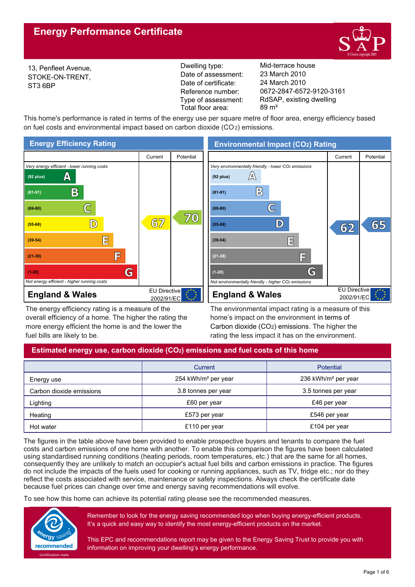

13, Penfleet Avenue, STOKE-ON-TRENT, ST3 6BP

Reference number: Dwelling type: Mid-terrace house Date of certificate: Date of assessment: Type of assessment: Total floor area: 89 m<sup>2</sup>

0672-2847-6572-9120-3161 24 March 2010 23 March 2010 RdSAP, existing dwelling

This home's performance is rated in terms of the energy use per square metre of floor area, energy efficiency based on fuel costs and environmental impact based on carbon dioxide (CO2) emissions.



The energy efficiency rating is a measure of the overall efficiency of a home. The higher the rating the more energy efficient the home is and the lower the fuel bills are likely to be.

**Environmental Impact (CO2) Rating**



The environmental impact rating is a measure of this home's impact on the environment in terms of Carbon dioxide (CO2) emissions. The higher the rating the less impact it has on the environment.

# **Estimated energy use, carbon dioxide (CO2) emissions and fuel costs of this home**

|                          | Current                         | Potential                       |
|--------------------------|---------------------------------|---------------------------------|
| Energy use               | 254 kWh/m <sup>2</sup> per year | 236 kWh/m <sup>2</sup> per year |
| Carbon dioxide emissions | 3.8 tonnes per year             | 3.5 tonnes per year             |
| Lighting                 | £60 per year                    | £46 per year                    |
| Heating                  | £573 per year                   | £546 per year                   |
| Hot water                | £110 per year                   | £104 per year                   |

The figures in the table above have been provided to enable prospective buyers and tenants to compare the fuel costs and carbon emissions of one home with another. To enable this comparison the figures have been calculated using standardised running conditions (heating periods, room temperatures, etc.) that are the same for all homes, consequently they are unlikely to match an occupier's actual fuel bills and carbon emissions in practice. The figures do not include the impacts of the fuels used for cooking or running appliances, such as TV, fridge etc.; nor do they reflect the costs associated with service, maintenance or safety inspections. Always check the certificate date because fuel prices can change over time and energy saving recommendations will evolve.

To see how this home can achieve its potential rating please see the recommended measures.



Remember to look for the energy saving recommended logo when buying energy-efficient products. It's a quick and easy way to identify the most energy-efficient products on the market.

This EPC and recommendations report may be given to the Energy Saving Trust to provide you with information on improving your dwelling's energy performance.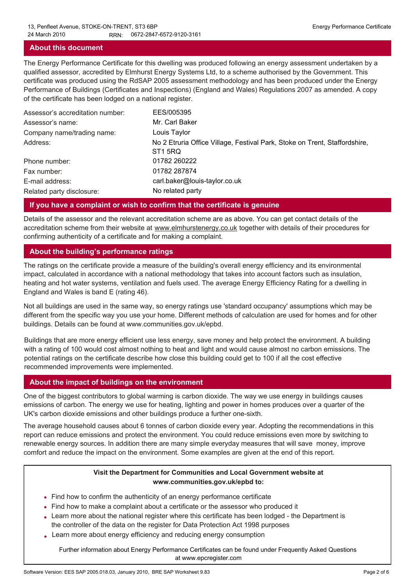#### **About this document**

The Energy Performance Certificate for this dwelling was produced following an energy assessment undertaken by a qualified assessor, accredited by Elmhurst Energy Systems Ltd, to a scheme authorised by the Government. This certificate was produced using the RdSAP 2005 assessment methodology and has been produced under the Energy Performance of Buildings (Certificates and Inspections) (England and Wales) Regulations 2007 as amended. A copy of the certificate has been lodged on a national register.

| Assessor's accreditation number: | EES/005395                                                                                        |
|----------------------------------|---------------------------------------------------------------------------------------------------|
| Assessor's name:                 | Mr. Carl Baker                                                                                    |
| Company name/trading name:       | Louis Taylor                                                                                      |
| Address:                         | No 2 Etruria Office Village, Festival Park, Stoke on Trent, Staffordshire,<br>ST <sub>1</sub> 5RQ |
| Phone number:                    | 01782 260222                                                                                      |
| Fax number:                      | 01782 287874                                                                                      |
| E-mail address:                  | carl.baker@louis-taylor.co.uk                                                                     |
| Related party disclosure:        | No related party                                                                                  |

### **If you have a complaint or wish to confirm that the certificate is genuine**

Details of the assessor and the relevant accreditation scheme are as above. You can get contact details of the accreditation scheme from their website at www.elmhurstenergy.co.uk together with details of their procedures for confirming authenticity of a certificate and for making a complaint.

### **About the building's performance ratings**

The ratings on the certificate provide a measure of the building's overall energy efficiency and its environmental impact, calculated in accordance with a national methodology that takes into account factors such as insulation, heating and hot water systems, ventilation and fuels used. The average Energy Efficiency Rating for a dwelling in England and Wales is band E (rating 46).

Not all buildings are used in the same way, so energy ratings use 'standard occupancy' assumptions which may be different from the specific way you use your home. Different methods of calculation are used for homes and for other buildings. Details can be found at www.communities.gov.uk/epbd.

Buildings that are more energy efficient use less energy, save money and help protect the environment. A building with a rating of 100 would cost almost nothing to heat and light and would cause almost no carbon emissions. The potential ratings on the certificate describe how close this building could get to 100 if all the cost effective recommended improvements were implemented.

# **About the impact of buildings on the environment**

One of the biggest contributors to global warming is carbon dioxide. The way we use energy in buildings causes emissions of carbon. The energy we use for heating, lighting and power in homes produces over a quarter of the UK's carbon dioxide emissions and other buildings produce a further one-sixth.

The average household causes about 6 tonnes of carbon dioxide every year. Adopting the recommendations in this report can reduce emissions and protect the environment. You could reduce emissions even more by switching to renewable energy sources. In addition there are many simple everyday measures that will save money, improve comfort and reduce the impact on the environment. Some examples are given at the end of this report.

#### **Visit the Department for Communities and Local Government website at www.communities.gov.uk/epbd to:**

- Find how to confirm the authenticity of an energy performance certificate •
- Find how to make a complaint about a certificate or the assessor who produced it •
- Learn more about the national register where this certificate has been lodged the Department is the controller of the data on the register for Data Protection Act 1998 purposes
- Learn more about energy efficiency and reducing energy consumption •

Further information about Energy Performance Certificates can be found under Frequently Asked Questions at www.epcregister.com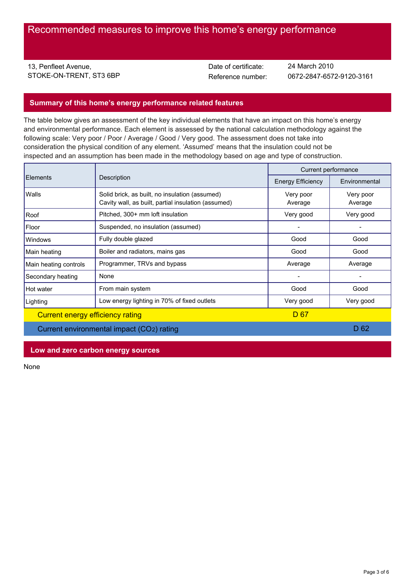13, Penfleet Avenue, STOKE-ON-TRENT, ST3 6BP Date of certificate:

Reference number: 0672-2847-6572-9120-3161 24 March 2010

## **Summary of this home's energy performance related features**

The table below gives an assessment of the key individual elements that have an impact on this home's energy and environmental performance. Each element is assessed by the national calculation methodology against the following scale: Very poor / Poor / Average / Good / Very good. The assessment does not take into consideration the physical condition of any element. 'Assumed' means that the insulation could not be inspected and an assumption has been made in the methodology based on age and type of construction.

|                                  | Description                                                                                           | Current performance      |                      |
|----------------------------------|-------------------------------------------------------------------------------------------------------|--------------------------|----------------------|
| <b>Elements</b>                  |                                                                                                       | <b>Energy Efficiency</b> | Environmental        |
| Walls                            | Solid brick, as built, no insulation (assumed)<br>Cavity wall, as built, partial insulation (assumed) | Very poor<br>Average     | Very poor<br>Average |
| Roof                             | Pitched, 300+ mm loft insulation                                                                      | Very good                | Very good            |
| Floor                            | Suspended, no insulation (assumed)                                                                    |                          |                      |
| Windows                          | Fully double glazed                                                                                   | Good                     | Good                 |
| Main heating                     | Boiler and radiators, mains gas                                                                       | Good                     | Good                 |
| Main heating controls            | Programmer, TRVs and bypass                                                                           | Average                  | Average              |
| Secondary heating                | None                                                                                                  |                          |                      |
| Hot water                        | From main system                                                                                      | Good                     | Good                 |
| Lighting                         | Low energy lighting in 70% of fixed outlets                                                           | Very good                | Very good            |
| Current energy efficiency rating |                                                                                                       | D <sub>67</sub>          |                      |

Current environmental impact (CO<sub>2</sub>) rating D 62

## **Low and zero carbon energy sources**

None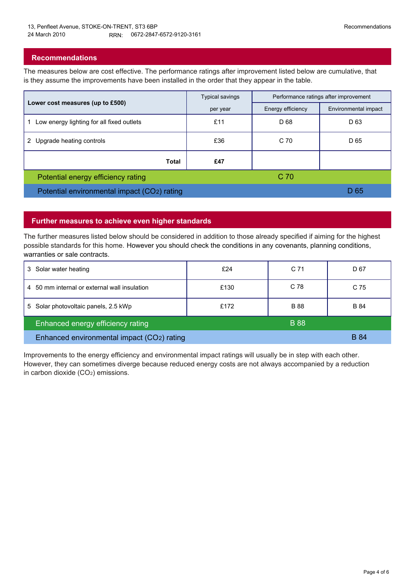# **Recommendations**

The measures below are cost effective. The performance ratings after improvement listed below are cumulative, that is they assume the improvements have been installed in the order that they appear in the table.

|                                             | <b>Typical savings</b> | Performance ratings after improvement |                      |
|---------------------------------------------|------------------------|---------------------------------------|----------------------|
| Lower cost measures (up to £500)            | per year               | Energy efficiency                     | Environmental impact |
| Low energy lighting for all fixed outlets   | £11                    | D 68                                  | D 63                 |
| 2 Upgrade heating controls                  | £36                    | C 70                                  | D 65                 |
| <b>Total</b>                                | £47                    |                                       |                      |
| Potential energy efficiency rating          |                        | C <sub>70</sub>                       |                      |
| Potential environmental impact (CO2) rating |                        |                                       | D <sub>65</sub>      |

### **Further measures to achieve even higher standards**

The further measures listed below should be considered in addition to those already specified if aiming for the highest possible standards for this home. However you should check the conditions in any covenants, planning conditions, warranties or sale contracts.

| 3 Solar water heating                        | £24  | C 71        | D 67        |
|----------------------------------------------|------|-------------|-------------|
| 4 50 mm internal or external wall insulation | £130 | C 78        | C 75        |
| 5 Solar photovoltaic panels, 2.5 kWp         | £172 | <b>B</b> 88 | <b>B</b> 84 |
| Enhanced energy efficiency rating            |      | <b>B</b> 88 |             |
| Enhanced environmental impact (CO2) rating   |      |             | <b>B</b> 84 |

Improvements to the energy efficiency and environmental impact ratings will usually be in step with each other. However, they can sometimes diverge because reduced energy costs are not always accompanied by a reduction in carbon dioxide (CO2) emissions.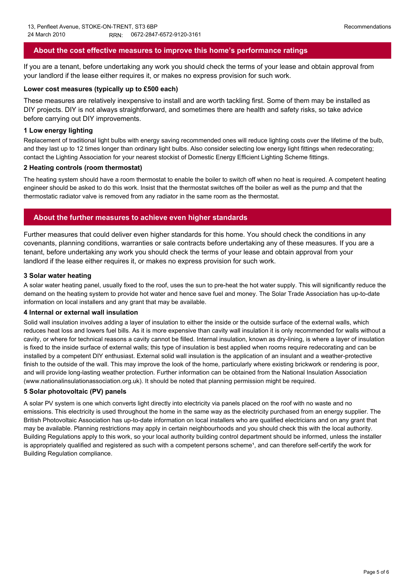### **About the cost effective measures to improve this home's performance ratings**

If you are a tenant, before undertaking any work you should check the terms of your lease and obtain approval from your landlord if the lease either requires it, or makes no express provision for such work.

#### **Lower cost measures (typically up to £500 each)**

These measures are relatively inexpensive to install and are worth tackling first. Some of them may be installed as DIY projects. DIY is not always straightforward, and sometimes there are health and safety risks, so take advice before carrying out DIY improvements.

#### **1 Low energy lighting**

Replacement of traditional light bulbs with energy saving recommended ones will reduce lighting costs over the lifetime of the bulb, and they last up to 12 times longer than ordinary light bulbs. Also consider selecting low energy light fittings when redecorating; contact the Lighting Association for your nearest stockist of Domestic Energy Efficient Lighting Scheme fittings.

#### **2 Heating controls (room thermostat)**

The heating system should have a room thermostat to enable the boiler to switch off when no heat is required. A competent heating engineer should be asked to do this work. Insist that the thermostat switches off the boiler as well as the pump and that the thermostatic radiator valve is removed from any radiator in the same room as the thermostat.

#### **About the further measures to achieve even higher standards**

Further measures that could deliver even higher standards for this home. You should check the conditions in any covenants, planning conditions, warranties or sale contracts before undertaking any of these measures. If you are a tenant, before undertaking any work you should check the terms of your lease and obtain approval from your landlord if the lease either requires it, or makes no express provision for such work.

#### **3 Solar water heating**

A solar water heating panel, usually fixed to the roof, uses the sun to pre-heat the hot water supply. This will significantly reduce the demand on the heating system to provide hot water and hence save fuel and money. The Solar Trade Association has up-to-date information on local installers and any grant that may be available.

#### **4 Internal or external wall insulation**

Solid wall insulation involves adding a layer of insulation to either the inside or the outside surface of the external walls, which reduces heat loss and lowers fuel bills. As it is more expensive than cavity wall insulation it is only recommended for walls without a cavity, or where for technical reasons a cavity cannot be filled. Internal insulation, known as dry-lining, is where a layer of insulation is fixed to the inside surface of external walls; this type of insulation is best applied when rooms require redecorating and can be installed by a competent DIY enthusiast. External solid wall insulation is the application of an insulant and a weather-protective finish to the outside of the wall. This may improve the look of the home, particularly where existing brickwork or rendering is poor, and will provide long-lasting weather protection. Further information can be obtained from the National Insulation Association (www.nationalinsulationassociation.org.uk). It should be noted that planning permission might be required.

#### **5 Solar photovoltaic (PV) panels**

A solar PV system is one which converts light directly into electricity via panels placed on the roof with no waste and no emissions. This electricity is used throughout the home in the same way as the electricity purchased from an energy supplier. The British Photovoltaic Association has up-to-date information on local installers who are qualified electricians and on any grant that may be available. Planning restrictions may apply in certain neighbourhoods and you should check this with the local authority. Building Regulations apply to this work, so your local authority building control department should be informed, unless the installer is appropriately qualified and registered as such with a competent persons scheme<sup>1</sup>, and can therefore self-certify the work for Building Regulation compliance.